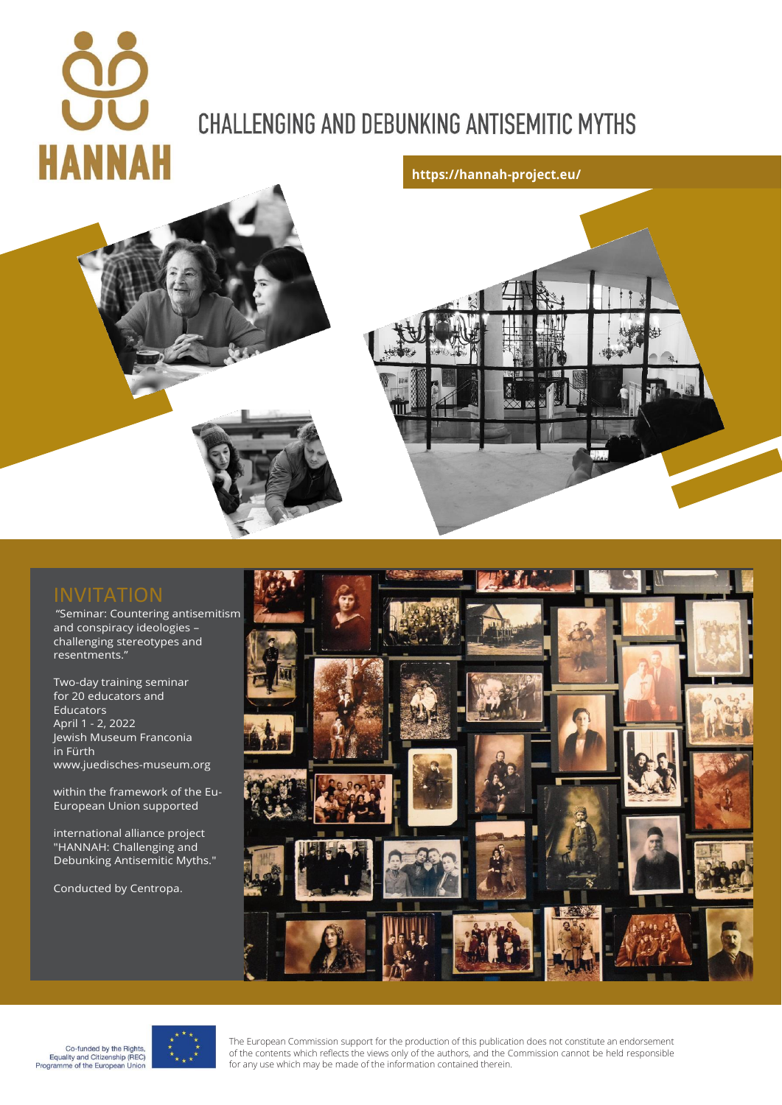# **HANNAH**

# **CHALLENGING AND DEBUNKING ANTISEMITIC MYTHS**





"Seminar: Countering antisemitism and conspiracy ideologies – challenging stereotypes and resentments."

Two-day training seminar for 20 educators and Educators April 1 - 2, 2022 Jewish Museum Franconia in Fürth www.juedisches-museum.org

within the framework of the Eu-European Union supported

international alliance project "HANNAH: Challenging and Debunking Antisemitic Myths."

Conducted by Centropa.





The European Commission support for the production of this publication does not constitute an endorsement of the contents which reflects the views only of the authors, and the Commission cannot be held responsible for any use which may be made of the information contained therein.